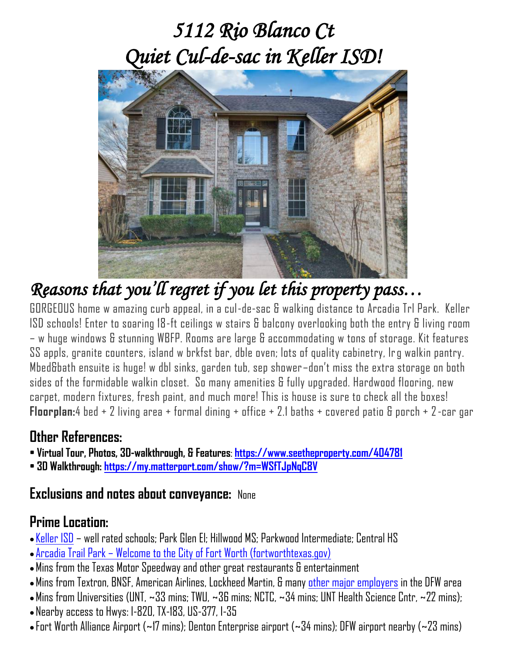# *5112 Rio Blanco Ct Quiet Cul-de-sac in Keller ISD!*



*Reasons that you'll regret if you let this property pass…* 

GORGEOUS home w amazing curb appeal, in a cul-de-sac & walking distance to Arcadia Trl Park. Keller ISD schools! Enter to soaring 18-ft ceilings w stairs & balcony overlooking both the entry & living room – w huge windows & stunning WBFP. Rooms are large & accommodating w tons of storage. Kit features SS appls, granite counters, island w brkfst bar, dble oven; lots of quality cabinetry, lrg walkin pantry. Mbed&bath ensuite is huge! w dbl sinks, garden tub, sep shower–don't miss the extra storage on both sides of the formidable walkin closet. So many amenities & fully upgraded. Hardwood flooring, new carpet, modern fixtures, fresh paint, and much more! This is house is sure to check all the boxes! **Floorplan:**4 bed + 2 living area + formal dining + office + 2.1 baths + covered patio & porch + 2-car gar

### **Other References:**

- **Virtual Tour, Photos, 3D-walkthrough, & Features**: **<https://www.seetheproperty.com/404781>**
- **3D Walkthrough: <https://my.matterport.com/show/?m=WSfTJpNqC8V>**

### **Exclusions and notes about conveyance:** None

### **Prime Location:**

- [Keller](https://www.kellerisd.net/) ISD well rated schools; Park Glen El; Hillwood MS; Parkwood Intermediate; Central HS
- Arcadia Trail Park [Welcome to the City of Fort Worth \(fortworthtexas.gov\)](https://www.fortworthtexas.gov/departments/parks/parks-and-trails/arcadia-trail-park)
- •Mins from the Texas Motor Speedway and other great restaurants & entertainment
- Mins from Textron, BNSF, American Airlines, Lockheed Martin, & many [other major employers](https://destinationdfw.com/Largest-Employers-in-Dallas-Fort-Worth-Texas) in the DFW area
- $\bullet$  Mins from Universities (UNT,  $\sim$ 33 mins; TWU,  $\sim$ 36 mins; NCTC,  $\sim$ 34 mins; UNT Health Science Cntr,  $\sim$ 22 mins); • Nearby access to Hwys: I-820, TX-183, US-377, I-35
- Fort Worth Alliance Airport (~17 mins); Denton Enterprise airport (~34 mins); DFW airport nearby (~23 mins)